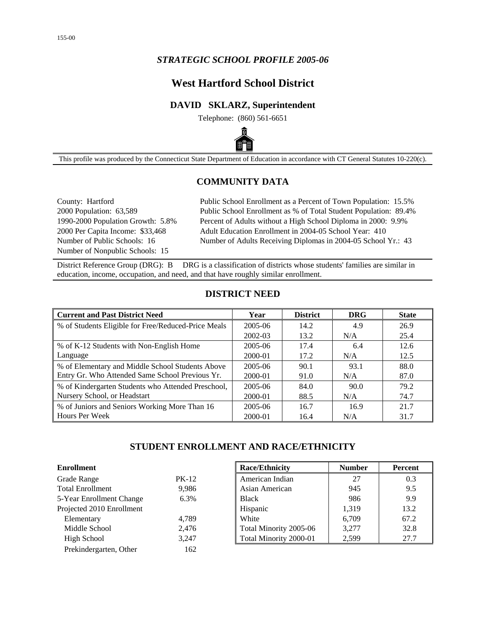## *STRATEGIC SCHOOL PROFILE 2005-06*

# **West Hartford School District**

### **DAVID SKLARZ, Superintendent**

Telephone: (860) 561-6651



This profile was produced by the Connecticut State Department of Education in accordance with CT General Statutes 10-220(c).

## **COMMUNITY DATA**

Number of Nonpublic Schools: 15

County: Hartford Public School Enrollment as a Percent of Town Population: 15.5% 2000 Population: 63,589 Public School Enrollment as % of Total Student Population: 89.4% 1990-2000 Population Growth: 5.8% Percent of Adults without a High School Diploma in 2000: 9.9% 2000 Per Capita Income: \$33,468 Adult Education Enrollment in 2004-05 School Year: 410 Number of Public Schools: 16 Number of Adults Receiving Diplomas in 2004-05 School Yr.: 43

District Reference Group (DRG): B DRG is a classification of districts whose students' families are similar in education, income, occupation, and need, and that have roughly similar enrollment.

### **DISTRICT NEED**

| <b>Current and Past District Need</b>               | Year    | <b>District</b> | <b>DRG</b> | <b>State</b> |
|-----------------------------------------------------|---------|-----------------|------------|--------------|
| % of Students Eligible for Free/Reduced-Price Meals | 2005-06 | 14.2            | 4.9        | 26.9         |
|                                                     | 2002-03 | 13.2            | N/A        | 25.4         |
| % of K-12 Students with Non-English Home            | 2005-06 | 17.4            | 6.4        | 12.6         |
| Language                                            | 2000-01 | 17.2            | N/A        | 12.5         |
| % of Elementary and Middle School Students Above    | 2005-06 | 90.1            | 93.1       | 88.0         |
| Entry Gr. Who Attended Same School Previous Yr.     | 2000-01 | 91.0            | N/A        | 87.0         |
| % of Kindergarten Students who Attended Preschool,  | 2005-06 | 84.0            | 90.0       | 79.2         |
| Nursery School, or Headstart                        | 2000-01 | 88.5            | N/A        | 74.7         |
| % of Juniors and Seniors Working More Than 16       | 2005-06 | 16.7            | 16.9       | 21.7         |
| Hours Per Week                                      | 2000-01 | 16.4            | N/A        | 31.7         |

## **STUDENT ENROLLMENT AND RACE/ETHNICITY**

| <b>Enrollment</b>         |         | <b>Race/Ethnicity</b>  | <b>Number</b> | Percent |
|---------------------------|---------|------------------------|---------------|---------|
| Grade Range               | $PK-12$ | American Indian        | 27            | 0.3     |
| <b>Total Enrollment</b>   | 9,986   | Asian American         | 945           | 9.5     |
| 5-Year Enrollment Change  | 6.3%    | <b>Black</b>           | 986           | 9.9     |
| Projected 2010 Enrollment |         | Hispanic               | 1,319         | 13.2    |
| Elementary                | 4,789   | White                  | 6.709         | 67.2    |
| Middle School             | 2,476   | Total Minority 2005-06 | 3.277         | 32.8    |
| High School               | 3,247   | Total Minority 2000-01 | 2,599         | 27.7    |
| Prekindergarten, Other    | 162     |                        |               |         |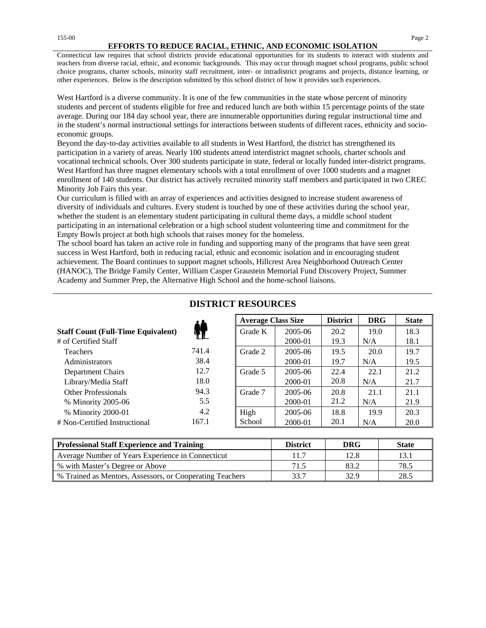Connecticut law requires that school districts provide educational opportunities for its students to interact with students and teachers from diverse racial, ethnic, and economic backgrounds. This may occur through magnet school programs, public school choice programs, charter schools, minority staff recruitment, inter- or intradistrict programs and projects, distance learning, or other experiences. Below is the description submitted by this school district of how it provides such experiences.

West Hartford is a diverse community. It is one of the few communities in the state whose percent of minority students and percent of students eligible for free and reduced lunch are both within 15 percentage points of the state average. During our 184 day school year, there are innumerable opportunities during regular instructional time and in the student's normal instructional settings for interactions between students of different races, ethnicity and socioeconomic groups.

Beyond the day-to-day activities available to all students in West Hartford, the district has strengthened its participation in a variety of areas. Nearly 100 students attend interdistrict magnet schools, charter schools and vocational technical schools. Over 300 students participate in state, federal or locally funded inter-district programs. West Hartford has three magnet elementary schools with a total enrollment of over 1000 students and a magnet enrollment of 140 students. Our district has actively recruited minority staff members and participated in two CREC Minority Job Fairs this year.

Our curriculum is filled with an array of experiences and activities designed to increase student awareness of diversity of individuals and cultures. Every student is touched by one of these activities during the school year, whether the student is an elementary student participating in cultural theme days, a middle school student participating in an international celebration or a high school student volunteering time and commitment for the Empty Bowls project at both high schools that raises money for the homeless.

The school board has taken an active role in funding and supporting many of the programs that have seen great success in West Hartford, both in reducing racial, ethnic and economic isolation and in encouraging student achievement. The Board continues to support magnet schools, Hillcrest Area Neighborhood Outreach Center (HANOC), The Bridge Family Center, William Casper Graustein Memorial Fund Discovery Project, Summer Academy and Summer Prep, the Alternative High School and the home-school liaisons.

|                                           |       | <b>Average Class Size</b> |         | <b>District</b> | <b>DRG</b> | <b>State</b> |
|-------------------------------------------|-------|---------------------------|---------|-----------------|------------|--------------|
| <b>Staff Count (Full-Time Equivalent)</b> |       | Grade K                   | 2005-06 | 20.2            | 19.0       | 18.3         |
| # of Certified Staff                      |       |                           | 2000-01 | 19.3            | N/A        | 18.1         |
| <b>Teachers</b>                           | 741.4 | Grade 2                   | 2005-06 | 19.5            | 20.0       | 19.7         |
| Administrators                            | 38.4  |                           | 2000-01 | 19.7            | N/A        | 19.5         |
| Department Chairs                         | 12.7  | Grade 5                   | 2005-06 | 22.4            | 22.1       | 21.2         |
| Library/Media Staff                       | 18.0  |                           | 2000-01 | 20.8            | N/A        | 21.7         |
| <b>Other Professionals</b>                | 94.3  | Grade 7                   | 2005-06 | 20.8            | 21.1       | 21.1         |
| % Minority 2005-06                        | 5.5   |                           | 2000-01 | 21.2            | N/A        | 21.9         |
| % Minority 2000-01                        | 4.2   | High                      | 2005-06 | 18.8            | 19.9       | 20.3         |
| # Non-Certified Instructional             | 167.1 | School                    | 2000-01 | 20.1            | N/A        | 20.0         |

## **DISTRICT RESOURCES**

| Professional Staff Experience and Training                 | <b>District</b> | DRG  | <b>State</b> |
|------------------------------------------------------------|-----------------|------|--------------|
| Average Number of Years Experience in Connecticut          | 11.7            | 12.8 |              |
| ■ % with Master's Degree or Above                          | 71.5            | 83.2 | 78.5         |
| ■ % Trained as Mentors, Assessors, or Cooperating Teachers | 33.7            | 32.9 | 28.5         |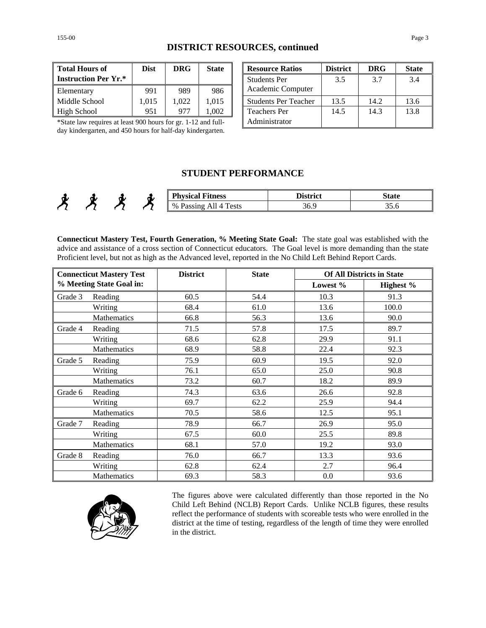| <b>DISTRICT RESOURCES, continued</b> |  |
|--------------------------------------|--|
|--------------------------------------|--|

| <b>Total Hours of</b>       | <b>Dist</b> | <b>DRG</b> | <b>State</b> | <b>Resource Ra</b>  |
|-----------------------------|-------------|------------|--------------|---------------------|
| <b>Instruction Per Yr.*</b> |             |            |              | <b>Students Per</b> |
| Elementary                  | 991         | 989        | 986          | Academic Co         |
| Middle School               | 1,015       | 1.022      | 1.015        | Students Per        |
| High School                 | 951         | 977        | .002         | <b>Teachers Per</b> |

| <b>Total Hours of</b>                                                                                                                | <b>Dist</b> | <b>DRG</b> | <b>State</b> | <b>Resource Ratios</b>      | <b>District</b> | <b>DRG</b> | <b>State</b> |
|--------------------------------------------------------------------------------------------------------------------------------------|-------------|------------|--------------|-----------------------------|-----------------|------------|--------------|
| <b>Instruction Per Yr.*</b>                                                                                                          |             |            |              | <b>Students Per</b>         | 3.5             | 3.7        | 3.4          |
| Elementary                                                                                                                           | 991         | 989        | 986          | Academic Computer           |                 |            |              |
| Middle School                                                                                                                        | 1.015       | 1.022      | 1.015        | <b>Students Per Teacher</b> | 13.5            | 14.2       | 13.6         |
| High School                                                                                                                          | 951         | 977        | 1.002        | <b>Teachers Per</b>         | 14.5            | 14.3       | 13.8         |
| *State law requires at least 900 hours for gr. 1-12 and full-<br>$1 \t1 \t1 \t1$ $1 \t1 \t1$ $1 \t1$ $1 \t1$ $1 \t1$ $1 \t1$ $1 \t1$ |             |            |              | Administrator               |                 |            |              |

\*State law requires at least 900 hours for gr. 1-12 and fullday kindergarten, and 450 hours for half-day kindergarten.

## **STUDENT PERFORMANCE**

|  | π | π. | <b>Physical</b><br>--<br>Fitness                                   | <b>District</b> | State |
|--|---|----|--------------------------------------------------------------------|-----------------|-------|
|  |   |    | m<br>$\%$<br>r<br>ests<br>$\tilde{\phantom{a}}$<br>ாட<br>,,,,,,,,, | 36.             | ---   |

**Connecticut Mastery Test, Fourth Generation, % Meeting State Goal:** The state goal was established with the advice and assistance of a cross section of Connecticut educators. The Goal level is more demanding than the state Proficient level, but not as high as the Advanced level, reported in the No Child Left Behind Report Cards.

| <b>Connecticut Mastery Test</b> |                          | <b>District</b> | <b>State</b> |          | <b>Of All Districts in State</b> |
|---------------------------------|--------------------------|-----------------|--------------|----------|----------------------------------|
|                                 | % Meeting State Goal in: |                 |              | Lowest % | Highest %                        |
| Grade 3                         | Reading                  | 60.5            | 54.4         | 10.3     | 91.3                             |
|                                 | Writing                  | 68.4            | 61.0         | 13.6     | 100.0                            |
|                                 | Mathematics              | 66.8            | 56.3         | 13.6     | 90.0                             |
| Grade 4                         | Reading                  | 71.5            | 57.8         | 17.5     | 89.7                             |
|                                 | Writing                  | 68.6            | 62.8         | 29.9     | 91.1                             |
|                                 | Mathematics              | 68.9            | 58.8         | 22.4     | 92.3                             |
| Grade 5                         | Reading                  | 75.9            | 60.9         | 19.5     | 92.0                             |
|                                 | Writing                  | 76.1            | 65.0         | 25.0     | 90.8                             |
|                                 | Mathematics              | 73.2            | 60.7         | 18.2     | 89.9                             |
| Grade 6                         | Reading                  | 74.3            | 63.6         | 26.6     | 92.8                             |
|                                 | Writing                  | 69.7            | 62.2         | 25.9     | 94.4                             |
|                                 | Mathematics              | 70.5            | 58.6         | 12.5     | 95.1                             |
| Grade 7                         | Reading                  | 78.9            | 66.7         | 26.9     | 95.0                             |
|                                 | Writing                  | 67.5            | 60.0         | 25.5     | 89.8                             |
|                                 | Mathematics              | 68.1            | 57.0         | 19.2     | 93.0                             |
| Grade 8                         | Reading                  | 76.0            | 66.7         | 13.3     | 93.6                             |
|                                 | Writing                  | 62.8            | 62.4         | 2.7      | 96.4                             |
|                                 | Mathematics              | 69.3            | 58.3         | 0.0      | 93.6                             |



The figures above were calculated differently than those reported in the No Child Left Behind (NCLB) Report Cards. Unlike NCLB figures, these results reflect the performance of students with scoreable tests who were enrolled in the district at the time of testing, regardless of the length of time they were enrolled in the district.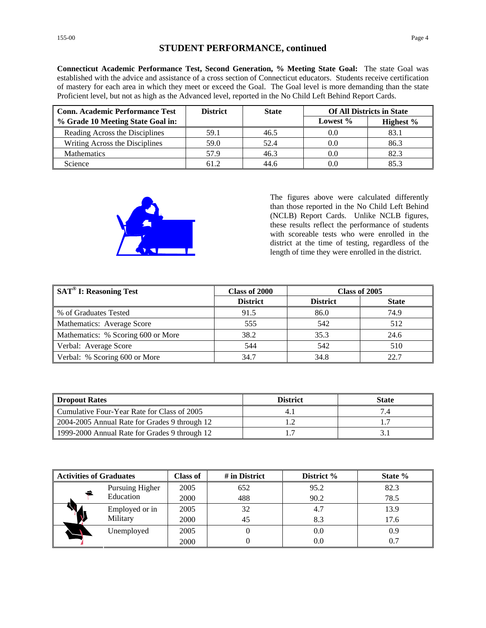## **STUDENT PERFORMANCE, continued**

**Connecticut Academic Performance Test, Second Generation, % Meeting State Goal:** The state Goal was established with the advice and assistance of a cross section of Connecticut educators. Students receive certification of mastery for each area in which they meet or exceed the Goal. The Goal level is more demanding than the state Proficient level, but not as high as the Advanced level, reported in the No Child Left Behind Report Cards.

| <b>Conn. Academic Performance Test</b> | <b>District</b> | <b>State</b> | <b>Of All Districts in State</b> |              |
|----------------------------------------|-----------------|--------------|----------------------------------|--------------|
| % Grade 10 Meeting State Goal in:      |                 |              | Lowest %                         | Highest $\%$ |
| Reading Across the Disciplines         | 59.1            | 46.5         | 0.0                              | 83.1         |
| Writing Across the Disciplines         | 59.0            | 52.4         | 0.0                              | 86.3         |
| <b>Mathematics</b>                     | 57.9            | 46.3         | 0.0                              | 82.3         |
| Science                                | 61.2            | 44.6         |                                  | 853          |



The figures above were calculated differently than those reported in the No Child Left Behind (NCLB) Report Cards. Unlike NCLB figures, these results reflect the performance of students with scoreable tests who were enrolled in the district at the time of testing, regardless of the length of time they were enrolled in the district.

| $\parallel$ SAT <sup>®</sup> I: Reasoning Test | Class of 2000   | Class of 2005   |              |
|------------------------------------------------|-----------------|-----------------|--------------|
|                                                | <b>District</b> | <b>District</b> | <b>State</b> |
| ■ % of Graduates Tested                        | 91.5            | 86.0            | 74.9         |
| Mathematics: Average Score                     | 555             | 542             | 512          |
| Mathematics: % Scoring 600 or More             | 38.2            | 35.3            | 24.6         |
| Verbal: Average Score                          | 544             | 542             | 510          |
| Verbal: % Scoring 600 or More                  | 34.7            | 34.8            |              |

| Dropout Rates                                 | <b>District</b> | <b>State</b> |
|-----------------------------------------------|-----------------|--------------|
| Cumulative Four-Year Rate for Class of 2005   | 4.              |              |
| 2004-2005 Annual Rate for Grades 9 through 12 |                 |              |
| 1999-2000 Annual Rate for Grades 9 through 12 |                 |              |

| Activities of Graduates |                 | <b>Class of</b> | # in District | District % | State % |
|-------------------------|-----------------|-----------------|---------------|------------|---------|
|                         | Pursuing Higher | 2005            | 652           | 95.2       | 82.3    |
|                         | Education       | 2000            | 488           | 90.2       | 78.5    |
|                         | Employed or in  | 2005            | 32            | 4.7        | 13.9    |
|                         | Military        | 2000            | 45            | 8.3        | 17.6    |
|                         | Unemployed      | 2005            | O             | 0.0        | 0.9     |
|                         |                 | 2000            | 0             | 0.0        | 0.7     |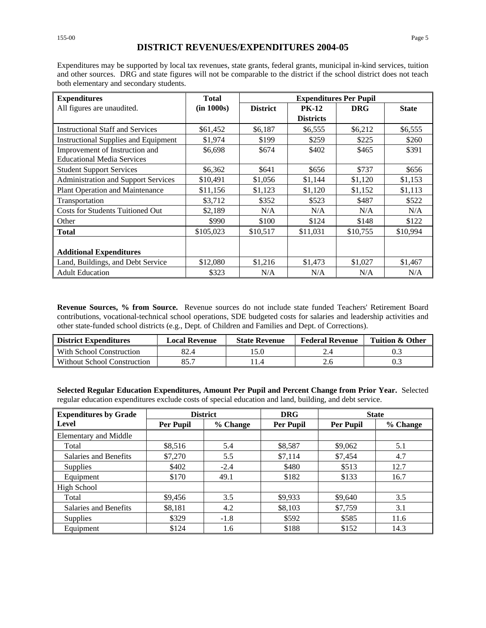#### **DISTRICT REVENUES/EXPENDITURES 2004-05**

Expenditures may be supported by local tax revenues, state grants, federal grants, municipal in-kind services, tuition and other sources. DRG and state figures will not be comparable to the district if the school district does not teach both elementary and secondary students.

| <b>Expenditures</b>                        | <b>Total</b> |                 |                  | <b>Expenditures Per Pupil</b> |              |
|--------------------------------------------|--------------|-----------------|------------------|-------------------------------|--------------|
| All figures are unaudited.                 | (in 1000s)   | <b>District</b> | <b>PK-12</b>     | <b>DRG</b>                    | <b>State</b> |
|                                            |              |                 | <b>Districts</b> |                               |              |
| <b>Instructional Staff and Services</b>    | \$61,452     | \$6,187         | \$6,555          | \$6,212                       | \$6,555      |
| Instructional Supplies and Equipment       | \$1,974      | \$199           | \$259            | \$225                         | \$260        |
| Improvement of Instruction and             | \$6,698      | \$674           | \$402            | \$465                         | \$391        |
| <b>Educational Media Services</b>          |              |                 |                  |                               |              |
| <b>Student Support Services</b>            | \$6,362      | \$641           | \$656            | \$737                         | \$656        |
| <b>Administration and Support Services</b> | \$10,491     | \$1,056         | \$1,144          | \$1,120                       | \$1,153      |
| Plant Operation and Maintenance            | \$11,156     | \$1,123         | \$1,120          | \$1,152                       | \$1,113      |
| Transportation                             | \$3,712      | \$352           | \$523            | \$487                         | \$522        |
| <b>Costs for Students Tuitioned Out</b>    | \$2,189      | N/A             | N/A              | N/A                           | N/A          |
| Other                                      | \$990        | \$100           | \$124            | \$148                         | \$122        |
| <b>Total</b>                               | \$105,023    | \$10,517        | \$11.031         | \$10,755                      | \$10,994     |
|                                            |              |                 |                  |                               |              |
| <b>Additional Expenditures</b>             |              |                 |                  |                               |              |
| Land, Buildings, and Debt Service          | \$12,080     | \$1,216         | \$1,473          | \$1,027                       | \$1,467      |
| <b>Adult Education</b>                     | \$323        | N/A             | N/A              | N/A                           | N/A          |

**Revenue Sources, % from Source.** Revenue sources do not include state funded Teachers' Retirement Board contributions, vocational-technical school operations, SDE budgeted costs for salaries and leadership activities and other state-funded school districts (e.g., Dept. of Children and Families and Dept. of Corrections).

| <b>District Expenditures</b> | <b>Local Revenue</b> | <b>State Revenue</b> |  | Tuition & Other |  |
|------------------------------|----------------------|----------------------|--|-----------------|--|
| With School Construction     |                      |                      |  |                 |  |
| Without School Construction  | 55 T                 |                      |  |                 |  |

**Selected Regular Education Expenditures, Amount Per Pupil and Percent Change from Prior Year.** Selected regular education expenditures exclude costs of special education and land, building, and debt service.

| <b>Expenditures by Grade</b> | <b>District</b>  |          | <b>DRG</b>       | <b>State</b>     |          |
|------------------------------|------------------|----------|------------------|------------------|----------|
| Level                        | <b>Per Pupil</b> | % Change | <b>Per Pupil</b> | <b>Per Pupil</b> | % Change |
| <b>Elementary and Middle</b> |                  |          |                  |                  |          |
| Total                        | \$8,516          | 5.4      | \$8,587          | \$9,062          | 5.1      |
| Salaries and Benefits        | \$7,270          | 5.5      | \$7,114          | \$7,454          | 4.7      |
| <b>Supplies</b>              | \$402            | $-2.4$   | \$480            | \$513            | 12.7     |
| Equipment                    | \$170            | 49.1     | \$182            | \$133            | 16.7     |
| High School                  |                  |          |                  |                  |          |
| Total                        | \$9,456          | 3.5      | \$9,933          | \$9,640          | 3.5      |
| Salaries and Benefits        | \$8,181          | 4.2      | \$8,103          | \$7,759          | 3.1      |
| <b>Supplies</b>              | \$329            | $-1.8$   | \$592            | \$585            | 11.6     |
| Equipment                    | \$124            | 1.6      | \$188            | \$152            | 14.3     |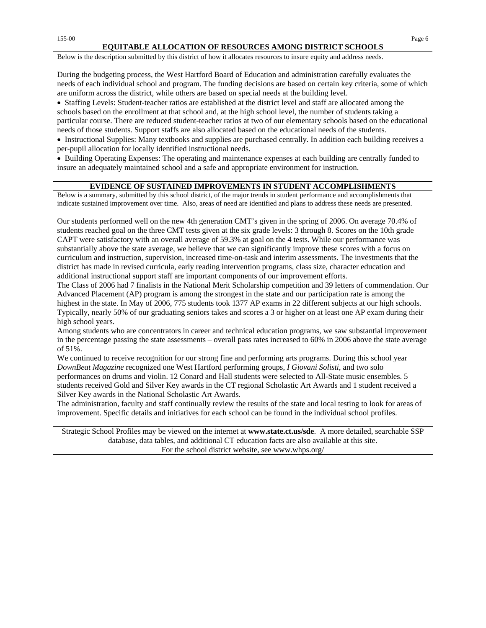#### **EQUITABLE ALLOCATION OF RESOURCES AMONG DISTRICT SCHOOLS**

Below is the description submitted by this district of how it allocates resources to insure equity and address needs.

During the budgeting process, the West Hartford Board of Education and administration carefully evaluates the needs of each individual school and program. The funding decisions are based on certain key criteria, some of which are uniform across the district, while others are based on special needs at the building level.

• Staffing Levels: Student-teacher ratios are established at the district level and staff are allocated among the schools based on the enrollment at that school and, at the high school level, the number of students taking a particular course. There are reduced student-teacher ratios at two of our elementary schools based on the educational needs of those students. Support staffs are also allocated based on the educational needs of the students.

• Instructional Supplies: Many textbooks and supplies are purchased centrally. In addition each building receives a per-pupil allocation for locally identified instructional needs.

• Building Operating Expenses: The operating and maintenance expenses at each building are centrally funded to insure an adequately maintained school and a safe and appropriate environment for instruction.

#### **EVIDENCE OF SUSTAINED IMPROVEMENTS IN STUDENT ACCOMPLISHMENTS**

Below is a summary, submitted by this school district, of the major trends in student performance and accomplishments that indicate sustained improvement over time. Also, areas of need are identified and plans to address these needs are presented.

Our students performed well on the new 4th generation CMT's given in the spring of 2006. On average 70.4% of students reached goal on the three CMT tests given at the six grade levels: 3 through 8. Scores on the 10th grade CAPT were satisfactory with an overall average of 59.3% at goal on the 4 tests. While our performance was substantially above the state average, we believe that we can significantly improve these scores with a focus on curriculum and instruction, supervision, increased time-on-task and interim assessments. The investments that the district has made in revised curricula, early reading intervention programs, class size, character education and additional instructional support staff are important components of our improvement efforts.

The Class of 2006 had 7 finalists in the National Merit Scholarship competition and 39 letters of commendation. Our Advanced Placement (AP) program is among the strongest in the state and our participation rate is among the highest in the state. In May of 2006, 775 students took 1377 AP exams in 22 different subjects at our high schools. Typically, nearly 50% of our graduating seniors takes and scores a 3 or higher on at least one AP exam during their high school years.

Among students who are concentrators in career and technical education programs, we saw substantial improvement in the percentage passing the state assessments – overall pass rates increased to 60% in 2006 above the state average of 51%.

We continued to receive recognition for our strong fine and performing arts programs. During this school year *DownBeat Magazine* recognized one West Hartford performing groups, *I Giovani Solisti*, and two solo performances on drums and violin. 12 Conard and Hall students were selected to All-State music ensembles. 5 students received Gold and Silver Key awards in the CT regional Scholastic Art Awards and 1 student received a Silver Key awards in the National Scholastic Art Awards.

The administration, faculty and staff continually review the results of the state and local testing to look for areas of improvement. Specific details and initiatives for each school can be found in the individual school profiles.

Strategic School Profiles may be viewed on the internet at **www.state.ct.us/sde**. A more detailed, searchable SSP database, data tables, and additional CT education facts are also available at this site. For the school district website, see www.whps.org/